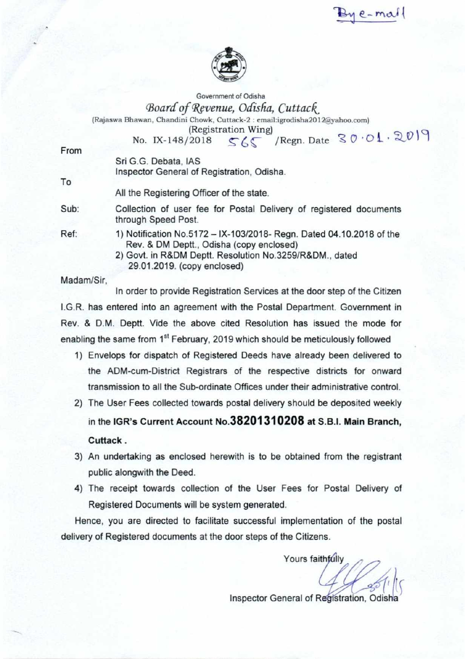$1e$ -mal



Government of Odisha *(Board of Revenue, Odisha, Cuttack* 

(Rajaswa Bhawan, Chandini Chowk, Cuttack-2 : cmail:igrodisha2012@yahoo.com)

(Registration Wing) No. IX-148/2018  $SC/Regn$ . Date  $30.01.2019$ 

From

Sri G.G. Debata, IAS

Inspector General of Registration, Odisha.

To

All the Registering Officer of the state.

Sub: Collection of user fee for Postal Delivery of registered documents through Speed Post.

- Ref: 1) Notification No.5172 IX-103/2018- Regn. Dated 04.10.2018 of the Rev. & DM Deptt., Odisha (copy enclosed)
	- 2) Govt. in R&DM Deptt. Resolution No.3259/R&DM., dated 29.01.2019. (copy enclosed)

Madam/Sir,

In order to provide Registration Services at the door step of the Citizen I.G.R. has entered into an agreement with the Postal Department. Government in Rev. & D.M. Deptt. Vide the above cited Resolution has issued the mode for enabling the same from 1<sup>st</sup> February, 2019 which should be meticulously followed

- 1) Envelops for dispatch of Registered Deeds have already been delivered to the ADM-cum-District Registrars of the respective districts for onward transmission to all the Sub-ordinate Offices under their administrative control.
- 2) The User Fees collected towards postal delivery should be deposited weekly in the IGR's Current Account **No.38201310208** at S.B.I. Main Branch, Cuttack .
- 3) An undertaking as enclosed herewith is to be obtained from the registrant public alongwith the Deed.
- 4) The receipt towards collection of the User Fees for Postal Delivery of Registered Documents will be system generated.

Hence, you are directed to facilitate successful implementation of the postal delivery of Registered documents at the door steps of the Citizens.

Yours faithfully

 $^{\prime}$  /(S)

Inspector General of Registration, Odisha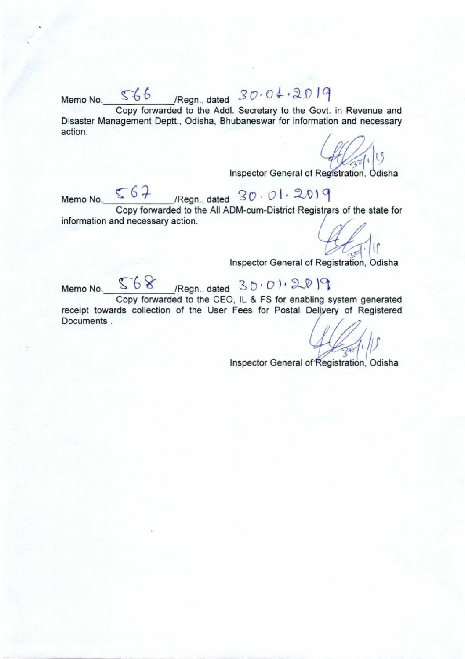Memo No. 566 Regn., dated  $30.04.2019$ Copy forwarded to the Addl. Secretary to the Govt. in Revenue and Disaster Management Deptt., Odisha, Bhubaneswar for information and necessary action.

Inspector General of Registration, Odisha

Memo No.  $567$  /Regn., dated  $30.01.2019$ Copy forwarded to the All ADM-cum-District Registrars of the state for information and necessary action.

lſ

Inspector General of Registration, **Odisha** 

Memo No.  $$68$  /Regn., dated  $30.012019$ 

Copy forwarded to the CEO. IL & FS for enabling system generated receipt towards collection of the User Fees for Postal Delivery of Registered Documents .

Inspector General of Registration. Odisha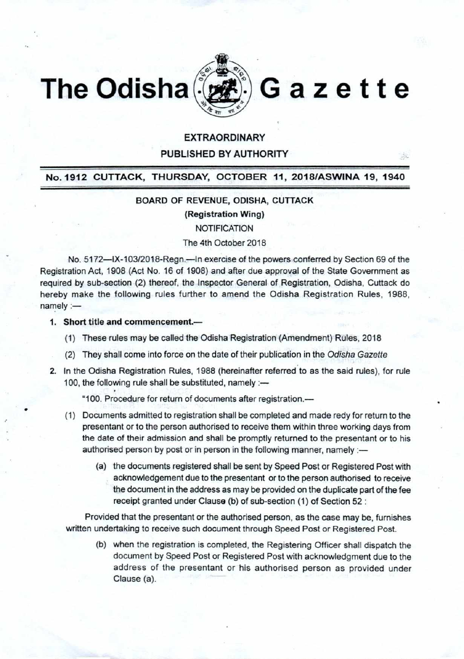



PUBLISHED BY AUTHORITY

## No. 1912 CUTTACK, THURSDAY, OCTOBER 11, 2018/ASWINA 19, 1940

### BOARD OF REVENUE, ODISHA, CUTTACK

(Registration Wing)

**NOTIFICATION** 

### The 4th October 2018

No. 5172—IX-103/2018-Regn.—In exercise of the powers conferred by Section 69 of the Registration Act, 1908 (Act No. 16 of 1908) and after due approval of the State Government as required by sub-section (2) thereof, the Inspector General of Registration, Odisha, Cuttack do hereby make the following rules further to amend the Odisha Registration Rules, 1988,  $namely :=$ 

1. Short title and commencement.—

- (1) These rules may be called the Odisha Registration (Amendment) Rules, 2018
- (2) They shall come into force on the date of their publication in the Odisha Gazette
- 2. In the Odisha Registration Rules, 1988 (hereinafter referred to as the said rules), for rule 100, the following rule shall be substituted, namely :-

"100. Procedure for return of documents after registration.—

- (1) Documents admitted to registration shall be completed and made redy for return to the presentant or to the person authorised to receive them within three working days from the date of their admission and shall be promptly returned to the presentant or to his authorised person by post or in person in the following manner, namely :-
	- (a) the documents registered shall be sent by Speed Post or Registered Post with acknowledgement due to the presentant or to the person authorised to receive the document in the address as may be provided on the duplicate part of the fee receipt granted under Clause (b) of sub-section (1) of Section 52 :

Provided that the presentant or the authorised person, as the case may be, furnishes written undertaking to receive such document through Speed Post or Registered Post.

(b) when the registration is completed, the Registering Officer shall dispatch the document by Speed Post or Registered Post with acknowledgment due to the address of the presentant or his authorised person as provided under Clause (a).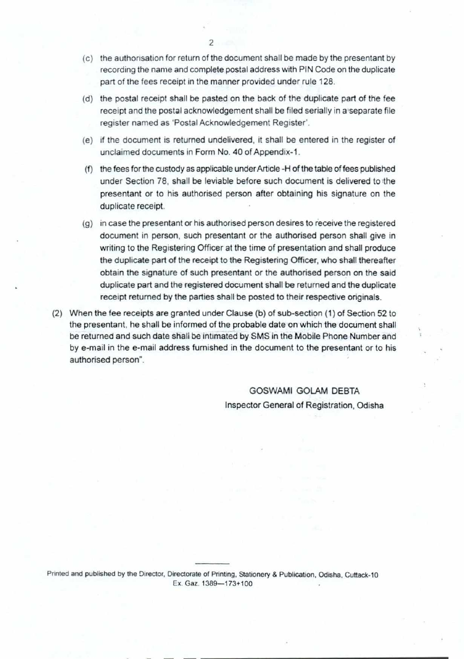- (c) the authorisation for return of the document shall be made by the presentant by recording the name and complete postal address with PIN Code on the duplicate part of the fees receipt in the manner provided under rule 128.
- (d) the postal receipt shall be pasted on the back of the duplicate part of the fee receipt and the postal acknowledgement shall be filed serially in a separate file register named as 'Postal Acknowledgement Register'
- (e) if the document is returned undelivered. it shall be entered in the register of unclaimed documents in Form No. 40 of Appendix-1.
- (f) the fees for the custody as applicable underArticle -H of the table of fees published under Section 78, shall be leviable before such document is delivered to the presentant or to his authorised person after obtaining his signature on the duplicate receipt.
- (g) in case the presentant or his authorised person desires to receive the registered document in person, such presentant or the authorised person shall give in writing to the Registering Officer at the time of presentation and shall produce the duplicate part of the receipt to the Registering Officer, who shall thereafter obtain the signature of such presentant or the authorised person on the said duplicate part and the registered document shall be returned and the duplicate receipt returned by the parties shall be posted to their respective originals.
- (2) When the fee receipts are granted under Clause (b) of sub-section (1) of Section 52 to the presentant, he shall be informed of the probable date on which the document shall be returned and such date shall be intimated by SMS in the Mobile Phone Number and by e-mail in the e-mail address furnished in the document to the presentant or to his authorised person".

GOSWAMI GOLAM DEBTA Inspector General of Registration, Odisha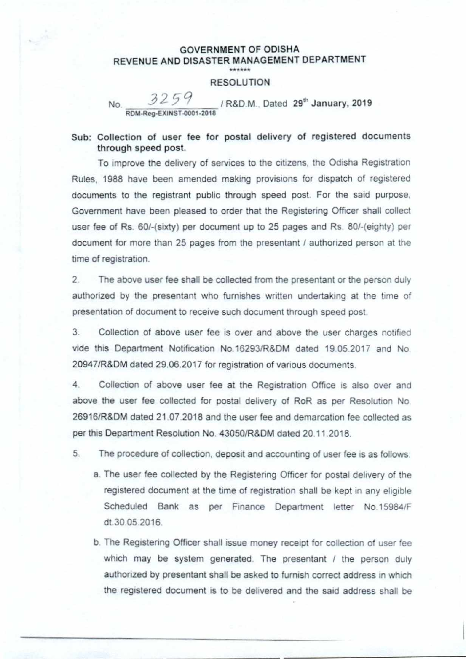#### GOVERNMENT OF ODISHA REVENUE AND DISASTER MANAGEMENT DEPARTMENT \*\*\*\*\*\*

### RESOLUTION

No. 02477 / R&D.M., Dated 29th January, 2019 **RDM•Reg-EXINST-0001-2018** 

## Sub: Collection of user fee for postal delivery of registered documents through speed post.

To improve the delivery of services to the citizens, the Odisha Registration Rules, 1988 have been amended making provisions for dispatch of registered documents to the registrant public through speed post For the said purpose. Government have been pleased to order that the Registering Officer shall collect user fee of Rs 60/-(sixty) per document up to 25 pages and Rs 80/-(eighty) per document for more than 25 pages from the presentant / authorized person at the time of registration

2. The above user fee shall be collected from the presentant or the person duly authorized by the presentant who furnishes written undertaking at the time of presentation of document to receive such document through speed post

3. Collection of above user fee is over and above the user charges notified vide this Department Notification No.162931R8DM dated 19 05 2017 and No 20947/R&DM dated 29.06.2017 for registration of various documents

4 Collection of above user fee at the Registration Office is also over and above the user fee collected for postal delivery of RoR as per Resolution No. 26916/R8DM dated 21 07 2018 and the user fee and demarcation fee collected as per this Department Resolution No 43050/R&DM dated 20 11 2018.

5. The procedure of collection, deposit and accounting of user fee is as follows

- a. The user fee collected by the Registering Officer for postal delivery of the registered document at the time of registration shall be kept in any eligible Scheduled Bank as per Finance Department letter No.15984/F dt 30 05 2016.
- b. The Registering Officer shall issue money receipt for collection of user fee which may be system generated. The presentant / the person duly authorized by presentant shall be asked to furnish correct address in which the registered document is to be delivered and the said address shall be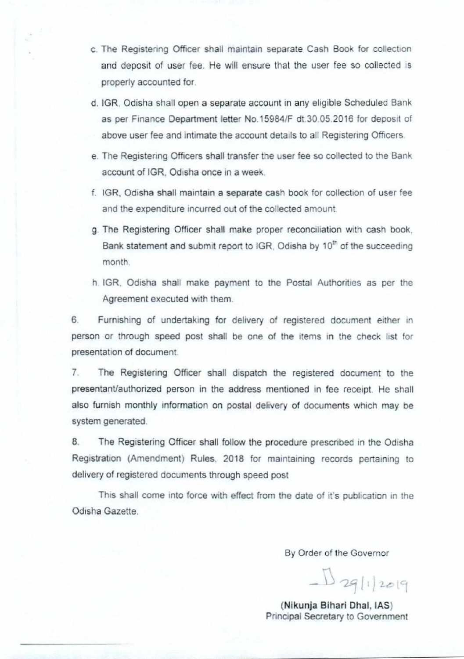- c The Registering Officer shall maintain separate Cash Book for collection and deposit of user fee. He will ensure that the user fee so collected is properly accounted for
- d. 1GR. Odisha shall open a separate account in any eligible Scheduled Bank as per Finance Department letter No.15984/F dt 30 05 2016 for deposit of above user fee and intimate the account details to all Registering Officers.
- e. The Registering Officers shall transfer the user fee so collected to the Bank account of IGR, Odisha once in a week.
- f. IGR. Odisha shall maintain a separate cash book for collection of user fee and the expenditure incurred out of the collected amount
- g. The Registering Officer shall make proper reconciliation with cash book. Bank statement and submit report to IGR, Odisha by 10<sup>th</sup> of the succeeding month
- h IGR. Odisha shall make payment to the Postal Authorities as per the Agreement executed with them

6 Furn:shing of undertaking for delivery of registered document either in person or through speed post shall be one of the items in the check list for presentation of document

7 The Registering Officer shall dispatch the registered document to the presentant/authorized person in the address mentioned in fee receipt. He shall also furnish monthly information on postal delivery of documents which may be system generated.

8. The Registering Officer shall follow the procedure prescribed in the Odisha Registration (Amendment) Rules, 2018 for maintaining records pertaining to delivery of registered documents through speed post

This shall come into force with effect from the date of it's publication in the Odisha Gazette.

By Order of the Governor

 $D_{29}$ [1]  $2019$ 

**( Nikunja Bihari Dhal, IAS)**  Principal Secretary to Government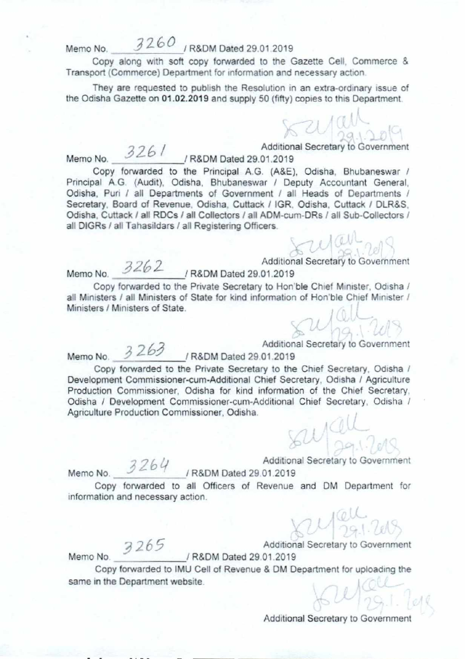# Memo No. 3260 / R&DM Dated 29.01.2019

Copy along with soft copy forwarded to the Gazette Cell. Commerce & Transport (Commerce) Department for information and necessary action

They are requested to publish the Resolution in an extra-ordinary issue of the Odisha Gazette on 01.02.2019 and supply 50 (fifty) copies to this Department.

Memo No. <u>2001</u> / R&DM Dated 29.01.2019

326 / Additional Secretary to Government

Copy forwarded to the Principal A.G. (A&E), Odisha, Bhubaneswar / Principal A.G. (Audit), Odisha, Bhubaneswar / Deputy Accountant General, Odisha, Puri / all Departments of Government / all Heads of Departments / Secretary. Board of Revenue, Odisha. Cuttack / IGR. Odisha. Cuttack / DLR&S. Odisha, Cuttack / all RDCs / all Collectors / all ADM-cum-DRs / all Sub-Collectors / all DIGRs / all Tahasildars / all Registering Officers

Additional Secretary to Government<br>
1 R&DM Dated 29.01.2019

Copy forwarded to the Private Secretary to Hon'ble Chief Minister, Odisha / all Ministers / all Ministers of State for kind information of Hon'ble Chief Minister / Ministers / Ministers of State

Additional Secretary to Government<br>Memo No. 3 263 / R&DM Dated 29.01.2019

Copy forwarded to the Private Secretary to the Chief Secretary, Odisha / Development Commissioner-cum-Additional Chief Secretary, Odisha / Agriculture Production Commissioner, Odisha for kind information of the Chief Secretary. Odisha / Development Commissioner-cum-Additional Chief Secretary, Odisha / Agriculture Production Commissioner, Odisha,

Memo No. 3264 Additional Secretary to Government

Copy forwarded to all Officers of Revenue and DM Department for information and necessary action.

Memo No - R&DM Dated 29 01.2019

•

265 Additional Secretary to Government

Copy forwarded to IMU Cell of Revenue & DM Department for uploading the same in the Department website.

Additional Secretary to Government